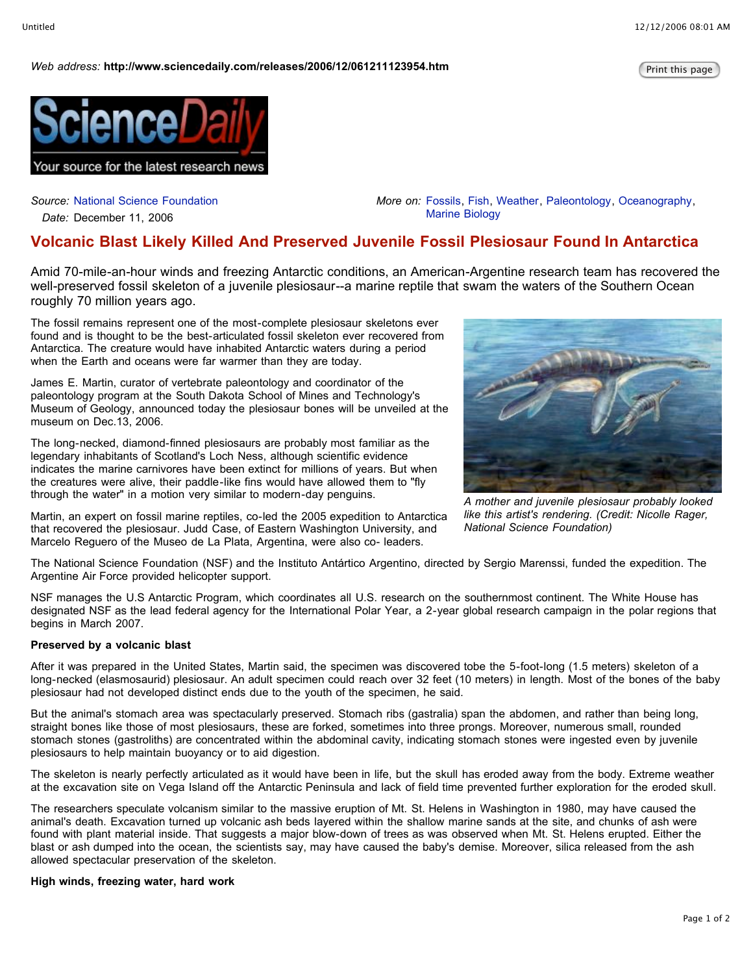## *Web* address: http://www.sciencedaily.com/releases/2006/12/061211123954.htm



*Source:* National Science Foundation

*Date:* December 11, 2006

*More on:* Fossils, Fish, Weather, Paleontology, Oceanography, Marine Biology

# **Volcanic Blast Likely Killed And Preserved Juvenile Fossil Plesiosaur Found In Antarctica**

Amid 70-mile-an-hour winds and freezing Antarctic conditions, an American-Argentine research team has recovered the well-preserved fossil skeleton of a juvenile plesiosaur--a marine reptile that swam the waters of the Southern Ocean roughly 70 million years ago.

The fossil remains represent one of the most-complete plesiosaur skeletons ever found and is thought to be the best-articulated fossil skeleton ever recovered from Antarctica. The creature would have inhabited Antarctic waters during a period when the Earth and oceans were far warmer than they are today.

James E. Martin, curator of vertebrate paleontology and coordinator of the paleontology program at the South Dakota School of Mines and Technology's Museum of Geology, announced today the plesiosaur bones will be unveiled at the museum on Dec.13, 2006.

The long-necked, diamond-finned plesiosaurs are probably most familiar as the legendary inhabitants of Scotland's Loch Ness, although scientific evidence indicates the marine carnivores have been extinct for millions of years. But when the creatures were alive, their paddle-like fins would have allowed them to "fly through the water" in a motion very similar to modern-day penguins.

Martin, an expert on fossil marine reptiles, co-led the 2005 expedition to Antarctica that recovered the plesiosaur. Judd Case, of Eastern Washington University, and Marcelo Reguero of the Museo de La Plata, Argentina, were also co- leaders.



*A mother and juvenile plesiosaur probably looked like this artist's rendering. (Credit: Nicolle Rager, National Science Foundation)*

The National Science Foundation (NSF) and the Instituto Antártico Argentino, directed by Sergio Marenssi, funded the expedition. The Argentine Air Force provided helicopter support.

NSF manages the U.S Antarctic Program, which coordinates all U.S. research on the southernmost continent. The White House has designated NSF as the lead federal agency for the International Polar Year, a 2-year global research campaign in the polar regions that begins in March 2007.

### **Preserved by a volcanic blast**

After it was prepared in the United States, Martin said, the specimen was discovered tobe the 5-foot-long (1.5 meters) skeleton of a long-necked (elasmosaurid) plesiosaur. An adult specimen could reach over 32 feet (10 meters) in length. Most of the bones of the baby plesiosaur had not developed distinct ends due to the youth of the specimen, he said.

But the animal's stomach area was spectacularly preserved. Stomach ribs (gastralia) span the abdomen, and rather than being long, straight bones like those of most plesiosaurs, these are forked, sometimes into three prongs. Moreover, numerous small, rounded stomach stones (gastroliths) are concentrated within the abdominal cavity, indicating stomach stones were ingested even by juvenile plesiosaurs to help maintain buoyancy or to aid digestion.

The skeleton is nearly perfectly articulated as it would have been in life, but the skull has eroded away from the body. Extreme weather at the excavation site on Vega Island off the Antarctic Peninsula and lack of field time prevented further exploration for the eroded skull.

The researchers speculate volcanism similar to the massive eruption of Mt. St. Helens in Washington in 1980, may have caused the animal's death. Excavation turned up volcanic ash beds layered within the shallow marine sands at the site, and chunks of ash were found with plant material inside. That suggests a major blow-down of trees as was observed when Mt. St. Helens erupted. Either the blast or ash dumped into the ocean, the scientists say, may have caused the baby's demise. Moreover, silica released from the ash allowed spectacular preservation of the skeleton.

### **High winds, freezing water, hard work**